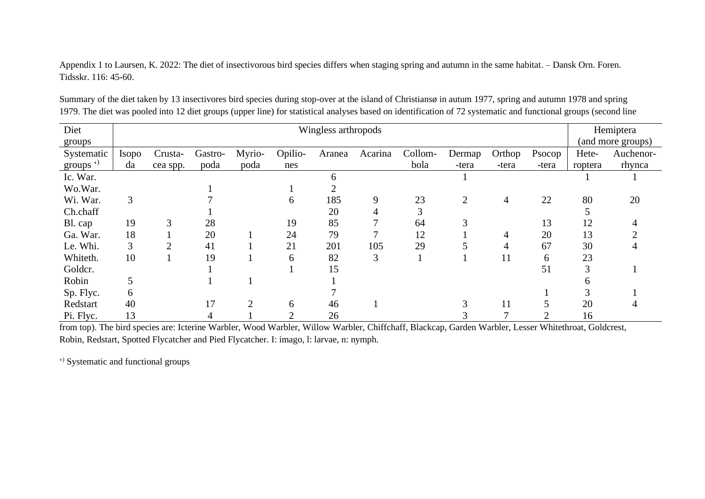Appendix 1 to Laursen, K. 2022: The diet of insectivorous bird species differs when staging spring and autumn in the same habitat. – Dansk Orn. Foren. Tidsskr. 116: 45-60.

| Diet           |              |           |         | Hemiptera |         |        |         |         |                |                |        |                   |           |
|----------------|--------------|-----------|---------|-----------|---------|--------|---------|---------|----------------|----------------|--------|-------------------|-----------|
| groups         |              |           |         |           |         |        |         |         |                |                |        | (and more groups) |           |
| Systematic     | <b>Isopo</b> | Crusta-   | Gastro- | Myrio-    | Opilio- | Aranea | Acarina | Collom- | Dermap         | Orthop         | Psocop | Hete-             | Auchenor- |
| groups $\cdot$ | da           | cea spp.  | poda    | poda      | nes     |        |         | bola    | -tera          | -tera          | -tera  | roptera           | rhynca    |
| Ic. War.       |              |           |         |           |         | 6      |         |         |                |                |        |                   |           |
| Wo.War.        |              |           |         |           |         |        |         |         |                |                |        |                   |           |
| Wi. War.       | 3            |           |         |           | 6       | 185    | 9       | 23      | $\overline{2}$ | $\overline{4}$ | 22     | 80                | 20        |
| Ch.chaff       |              |           |         |           |         | 20     | 4       | 3       |                |                |        |                   |           |
| Bl. cap        | 19           | 3         | 28      |           | 19      | 85     |         | 64      |                |                | 13     | 12                |           |
| Ga. War.       | 18           |           | 20      |           | 24      | 79     | ┑       | 12      |                | 4              | 20     | 13                |           |
| Le. Whi.       | 3            | $\bigcap$ | 41      |           | 21      | 201    | 105     | 29      |                | 4              | 67     | 30                |           |
| Whiteth.       | 10           |           | 19      |           | 6       | 82     | 3       |         |                | 11             | 6      | 23                |           |
| Goldcr.        |              |           |         |           |         | 15     |         |         |                |                | 51     |                   |           |
| Robin          | 5            |           |         |           |         |        |         |         |                |                |        | n                 |           |
| Sp. Flyc.      | 6            |           |         |           |         |        |         |         |                |                |        |                   |           |
| Redstart       | 40           |           | 17      | ↑         | 6       | 46     |         |         |                | 11             |        | 20                |           |
| Pi. Flyc.      | 13           |           | 4       |           | 2       | 26     |         |         |                |                |        | 16                |           |

Summary of the diet taken by 13 insectivores bird species during stop-over at the island of Christiansø in autum 1977, spring and autumn 1978 and spring 1979. The diet was pooled into 12 diet groups (upper line) for statistical analyses based on identification of 72 systematic and functional groups (second line

from top). The bird species are: Icterine Warbler, Wood Warbler, Willow Warbler, Chiffchaff, Blackcap, Garden Warbler, Lesser Whitethroat, Goldcrest, Robin, Redstart, Spotted Flycatcher and Pied Flycatcher. I: imago, l: larvae, n: nymph.

' ) Systematic and functional groups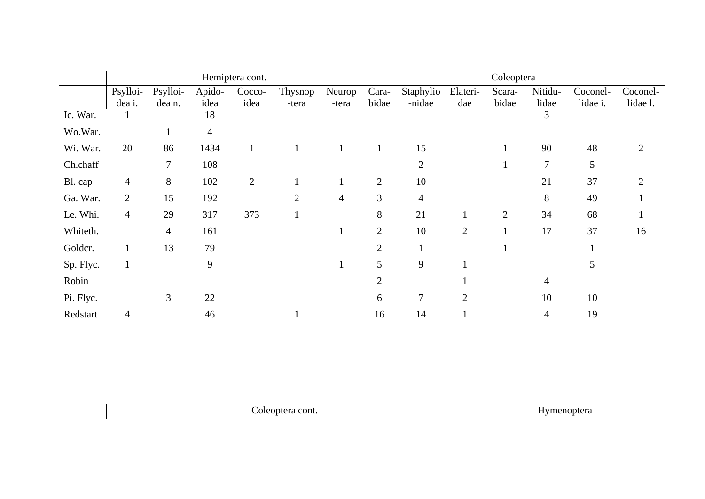|           |                |                |                | Hemiptera cont. |                |                | Coleoptera     |                |                |                |         |          |          |  |
|-----------|----------------|----------------|----------------|-----------------|----------------|----------------|----------------|----------------|----------------|----------------|---------|----------|----------|--|
|           | Psylloi-       | Psylloi-       | Apido-         | Cocco-          | Thysnop        | Neurop         | Cara-          | Staphylio      | Elateri-       | Scara-         | Nitidu- | Coconel- | Coconel- |  |
|           | dea i.         | dea n.         | idea           | idea            | -tera          | -tera          | bidae          | -nidae         | dae            | bidae          | lidae   | lidae i. | lidae l. |  |
| Ic. War.  | $\perp$        |                | 18             |                 |                |                |                |                |                |                | 3       |          |          |  |
| Wo.War.   |                |                | $\overline{4}$ |                 |                |                |                |                |                |                |         |          |          |  |
| Wi. War.  | 20             | 86             | 1434           |                 | $\mathbf{1}$   |                | $\mathbf{1}$   | 15             |                |                | 90      | 48       |          |  |
| Ch.chaff  |                | $\tau$         | 108            |                 |                |                |                | 2              |                |                | 7       | 5        |          |  |
| Bl. cap   | $\overline{4}$ | 8              | 102            | $\overline{2}$  |                |                | $\mathbf{2}$   | 10             |                |                | 21      | 37       |          |  |
| Ga. War.  | $\overline{2}$ | 15             | 192            |                 | $\overline{2}$ | $\overline{4}$ | 3              | $\overline{4}$ |                |                | 8       | 49       |          |  |
| Le. Whi.  | $\overline{4}$ | 29             | 317            | 373             |                |                | 8              | 21             | $\mathbf{I}$   | $\overline{2}$ | 34      | 68       |          |  |
| Whiteth.  |                | $\overline{4}$ | 161            |                 |                | $\perp$        | $\mathbf{2}$   | 10             | $\overline{2}$ |                | 17      | 37       | 16       |  |
| Goldcr.   | $\mathbf{1}$   | 13             | 79             |                 |                |                | $\overline{2}$ |                |                |                |         |          |          |  |
| Sp. Flyc. | $\mathbf{1}$   |                | 9              |                 |                |                | 5              | 9              |                |                |         | 5        |          |  |
| Robin     |                |                |                |                 |                |                | $\overline{2}$ |                |                |                | 4       |          |          |  |
| Pi. Flyc. |                | 3              | 22             |                 |                |                | 6              | $\overline{7}$ | $\overline{2}$ |                | 10      | 10       |          |  |
| Redstart  | $\overline{4}$ |                | 46             |                 |                |                | 16             | 14             |                |                | 4       | 19       |          |  |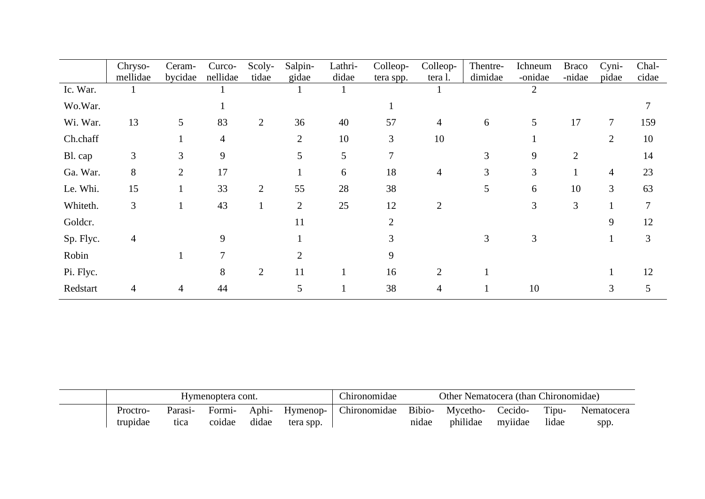|           | Chryso-        | Ceram-         | Curco-   | Scoly-         | Salpin-        | Lathri- | Colleop-              | Colleop-       | Thentre- | Ichneum | <b>Braco</b>   | Cyni-          | Chal- |
|-----------|----------------|----------------|----------|----------------|----------------|---------|-----------------------|----------------|----------|---------|----------------|----------------|-------|
|           | mellidae       | bycidae        | nellidae | tidae          | gidae          | didae   | tera spp.             | tera l.        | dimidae  | -onidae | -nidae         | pidae          | cidae |
| Ic. War.  |                |                |          |                |                |         |                       |                |          | 2       |                |                |       |
| Wo.War.   |                |                |          |                |                |         |                       |                |          |         |                |                |       |
| Wi. War.  | 13             | 5              | 83       | 2              | 36             | 40      | 57                    | $\overline{4}$ | 6        | 5       | 17             | $\tau$         | 159   |
| Ch.chaff  |                |                | 4        |                | $\overline{2}$ | 10      | 3                     | 10             |          |         |                | $\overline{2}$ | 10    |
| Bl. cap   | 3              | 3              | 9        |                | 5              | 5       | 7                     |                | 3        | 9       | $\overline{2}$ |                | 14    |
| Ga. War.  | 8              | $\overline{2}$ | 17       |                |                | 6       | 18                    | 4              | 3        | 3       | -1             | 4              | 23    |
| Le. Whi.  | 15             |                | 33       | 2              | 55             | 28      | 38                    |                | 5        | 6       | 10             | $\mathfrak{Z}$ | 63    |
| Whiteth.  | $\overline{3}$ |                | 43       |                | $\overline{2}$ | 25      | 12                    | $\overline{2}$ |          | 3       | 3              |                | 7     |
| Goldcr.   |                |                |          |                | 11             |         | $\mathcal{D}_{\cdot}$ |                |          |         |                | 9              | 12    |
| Sp. Flyc. | 4              |                | 9        |                |                |         |                       |                | 3        | 3       |                |                | 3     |
| Robin     |                |                | $\tau$   |                | $\mathfrak{D}$ |         | 9                     |                |          |         |                |                |       |
| Pi. Flyc. |                |                | 8        | $\overline{2}$ | 11             |         | 16                    | $\overline{2}$ |          |         |                |                | 12    |
| Redstart  |                | 4              | 44       |                | 5              |         | 38                    | 4              |          | 10      |                | 3              | 5     |

|          |         | Hymenoptera cont. |       |           | hironomidae. | Other Nematocera (than Chironomidae) |          |         |       |            |  |  |
|----------|---------|-------------------|-------|-----------|--------------|--------------------------------------|----------|---------|-------|------------|--|--|
| Proctro- | Parasi- | Formi-            | Aphi- | Hymenop-  | Chironomidae | Bibio-                               | Mycetho- | Cecido- | Tipu- | Nematocera |  |  |
| trupidae | tica    | coidae            | didae | tera spp. |              | nidae                                | philidae | mviidae | lidae | spp.       |  |  |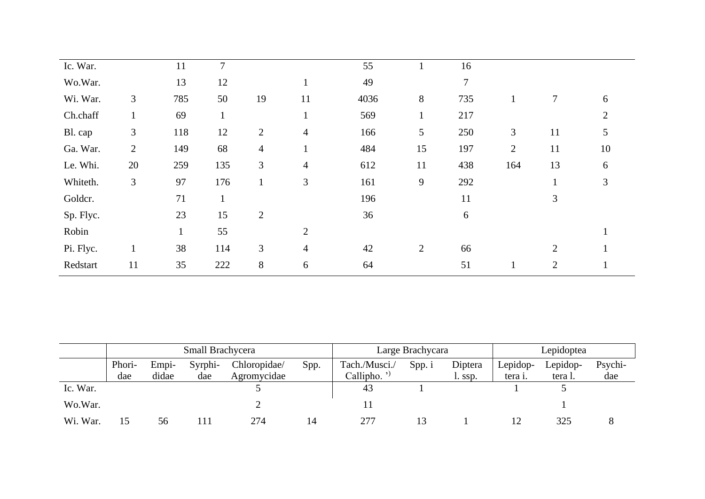| Ic. War.  |                | 11  | 7            |                |                | 55   |              | 16  |                |                |    |
|-----------|----------------|-----|--------------|----------------|----------------|------|--------------|-----|----------------|----------------|----|
| Wo.War.   |                | 13  | 12           |                | $\mathbf{1}$   | 49   |              | 7   |                |                |    |
| Wi. War.  | 3              | 785 | 50           | 19             | 11             | 4036 | 8            | 735 | $\mathbf{1}$   | 7              | 6  |
| Ch.chaff  | $\mathbf{1}$   | 69  | $\mathbf{1}$ |                | $\mathbf{1}$   | 569  | $\mathbf{1}$ | 217 |                |                | 2  |
| Bl. cap   | 3              | 118 | 12           | $\overline{2}$ | $\overline{4}$ | 166  | 5            | 250 | 3              | 11             | 5  |
| Ga. War.  | $\overline{2}$ | 149 | 68           | $\overline{4}$ | $\mathbf{1}$   | 484  | 15           | 197 | $\overline{2}$ | 11             | 10 |
| Le. Whi.  | 20             | 259 | 135          | 3              | $\overline{4}$ | 612  | 11           | 438 | 164            | 13             | 6  |
| Whiteth.  | 3              | 97  | 176          | $\mathbf{1}$   | 3              | 161  | 9            | 292 |                |                | 3  |
| Goldcr.   |                | 71  | $\mathbf{1}$ |                |                | 196  |              | 11  |                | 3              |    |
| Sp. Flyc. |                | 23  | 15           | $\overline{2}$ |                | 36   |              | 6   |                |                |    |
| Robin     |                |     | 55           |                | 2              |      |              |     |                |                |    |
| Pi. Flyc. | $\perp$        | 38  | 114          | 3              | $\overline{4}$ | 42   | 2            | 66  |                | $\overline{2}$ |    |
| Redstart  | 11             | 35  | 222          | $8\,$          | 6              | 64   |              | 51  | $\perp$        | $\overline{2}$ |    |

|          |        |                                          | Small Brachycera |             |  | Large Brachycara |        | Lepidoptea |          |          |         |
|----------|--------|------------------------------------------|------------------|-------------|--|------------------|--------|------------|----------|----------|---------|
|          | Phori- | Syrphi-<br>Chloropidae/<br>Spp.<br>Empi- |                  |             |  | Tach./Musci./    | Spp. i | Diptera    | Lepidop- | Lepidop- | Psychi- |
|          | dae    | didae                                    | dae              | Agromycidae |  | Callipho. $'$    |        | l. ssp.    | tera i.  | tera l.  | dae     |
| Ic. War. |        |                                          |                  |             |  | 43               |        |            |          |          |         |
| Wo.War.  |        |                                          |                  |             |  |                  |        |            |          |          |         |
| Wi. War. | 15     | Ⴢჿ                                       |                  | 274         |  | 277              |        |            |          | 325      |         |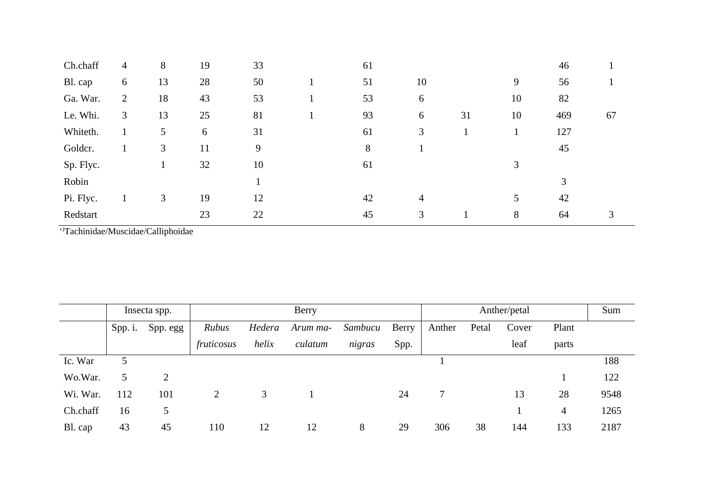| Ch.chaff  | $\overline{4}$ | 8  | 19 | 33 | 61 |                |    |    | 46  |    |
|-----------|----------------|----|----|----|----|----------------|----|----|-----|----|
| Bl. cap   | 6              | 13 | 28 | 50 | 51 | 10             |    | 9  | 56  |    |
| Ga. War.  | $\mathfrak{2}$ | 18 | 43 | 53 | 53 | 6              |    | 10 | 82  |    |
| Le. Whi.  | 3              | 13 | 25 | 81 | 93 | 6              | 31 | 10 | 469 | 67 |
| Whiteth.  |                | 5  | 6  | 31 | 61 | 3              |    | 1  | 127 |    |
| Goldcr.   |                | 3  | 11 | 9  | 8  |                |    |    | 45  |    |
| Sp. Flyc. |                |    | 32 | 10 | 61 |                |    | 3  |     |    |
| Robin     |                |    |    |    |    |                |    |    | 3   |    |
| Pi. Flyc. |                | 3  | 19 | 12 | 42 | $\overline{4}$ |    | 5  | 42  |    |
| Redstart  |                |    | 23 | 22 | 45 | 3              |    | 8  | 64  | 3  |

' )Tachinidae/Muscidae/Calliphoidae

|          | Insecta spp. |          | Berry      |        |          |         |       |        | Anther/petal |       |       |      |  |
|----------|--------------|----------|------------|--------|----------|---------|-------|--------|--------------|-------|-------|------|--|
|          | $Spp.$ i.    | Spp. egg | Rubus      | Hedera | Arum ma- | Sambucu | Berry | Anther | Petal        | Cover | Plant |      |  |
|          |              |          | fruticosus | helix  | culatum  | nigras  | Spp.  |        |              | leaf  | parts |      |  |
| Ic. War  | 5            |          |            |        |          |         |       |        |              |       |       | 188  |  |
| Wo.War.  | 5            | 2        |            |        |          |         |       |        |              |       |       | 122  |  |
| Wi. War. | 112          | 101      | 2          | 3      |          |         | 24    |        |              | 13    | 28    | 9548 |  |
| Ch.chaff | 16           | 5        |            |        |          |         |       |        |              |       | 4     | 1265 |  |
| Bl. cap  | 43           | 45       | 110        | 12     | 12       | 8       | 29    | 306    | 38           | 144   | 133   | 2187 |  |